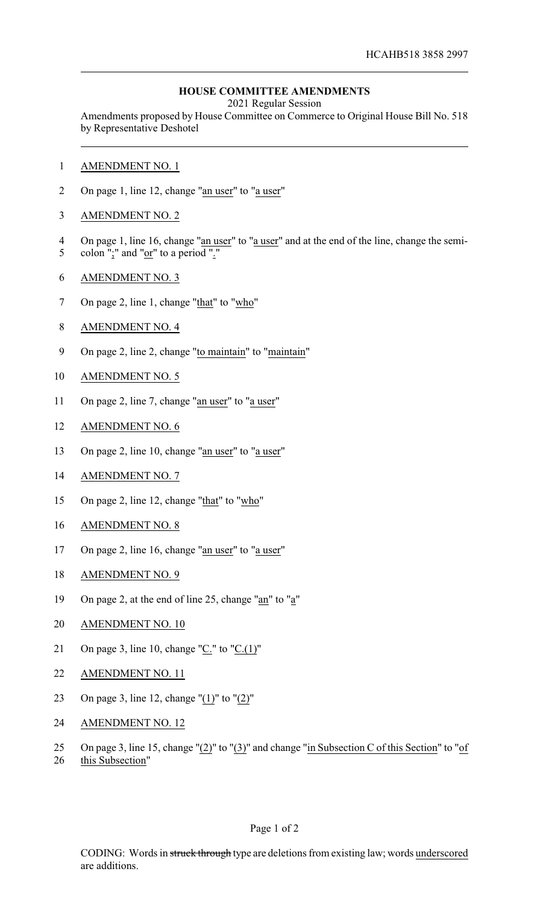## **HOUSE COMMITTEE AMENDMENTS**

2021 Regular Session

Amendments proposed by House Committee on Commerce to Original House Bill No. 518 by Representative Deshotel

- 1 AMENDMENT NO. 1
- 2 On page 1, line 12, change "an user" to "a user"
- 3 AMENDMENT NO. 2
- 4 On page 1, line 16, change "an user" to "a user" and at the end of the line, change the semi-
- 5 colon ";" and " $or$ " to a period "."</u>
- 6 AMENDMENT NO. 3
- 7 On page 2, line 1, change "that" to "who"
- 8 AMENDMENT NO. 4
- 9 On page 2, line 2, change "to maintain" to "maintain"
- 10 AMENDMENT NO. 5
- 11 On page 2, line 7, change "an user" to "a user"
- 12 AMENDMENT NO. 6
- 13 On page 2, line 10, change "an user" to "a user"
- 14 AMENDMENT NO. 7
- 15 On page 2, line 12, change "that" to "who"
- 16 AMENDMENT NO. 8
- 17 On page 2, line 16, change "an user" to "a user"
- 18 AMENDMENT NO. 9
- 19 On page 2, at the end of line 25, change "an" to "a"
- 20 AMENDMENT NO. 10
- 21 On page 3, line 10, change " $C$ ." to " $C(1)$ "
- 22 AMENDMENT NO. 11
- 23 On page 3, line 12, change "(1)" to "(2)"
- 24 AMENDMENT NO. 12
- 25 On page 3, line 15, change " $(2)$ " to " $(3)$ " and change "in Subsection C of this Section" to "of
- 26 this Subsection"